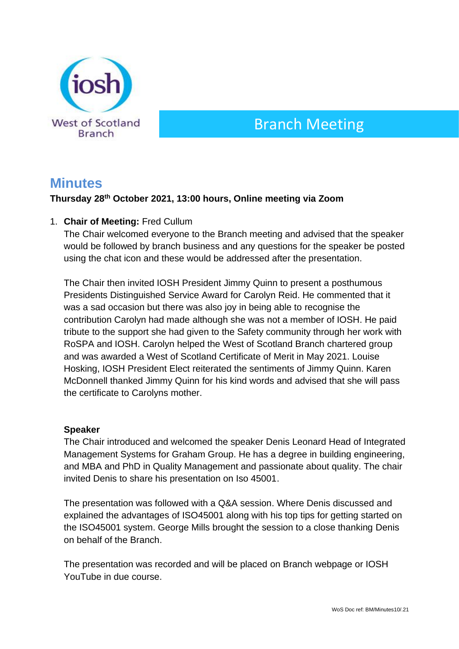

# Branch Meeting

# **Minutes**

# **Thursday 28th October 2021, 13:00 hours, Online meeting via Zoom**

# 1. **Chair of Meeting:** Fred Cullum

The Chair welcomed everyone to the Branch meeting and advised that the speaker would be followed by branch business and any questions for the speaker be posted using the chat icon and these would be addressed after the presentation.

The Chair then invited IOSH President Jimmy Quinn to present a posthumous Presidents Distinguished Service Award for Carolyn Reid. He commented that it was a sad occasion but there was also joy in being able to recognise the contribution Carolyn had made although she was not a member of IOSH. He paid tribute to the support she had given to the Safety community through her work with RoSPA and IOSH. Carolyn helped the West of Scotland Branch chartered group and was awarded a West of Scotland Certificate of Merit in May 2021. Louise Hosking, IOSH President Elect reiterated the sentiments of Jimmy Quinn. Karen McDonnell thanked Jimmy Quinn for his kind words and advised that she will pass the certificate to Carolyns mother.

# **Speaker**

The Chair introduced and welcomed the speaker Denis Leonard Head of Integrated Management Systems for Graham Group. He has a degree in building engineering, and MBA and PhD in Quality Management and passionate about quality. The chair invited Denis to share his presentation on Iso 45001.

The presentation was followed with a Q&A session. Where Denis discussed and explained the advantages of ISO45001 along with his top tips for getting started on the ISO45001 system. George Mills brought the session to a close thanking Denis on behalf of the Branch.

The presentation was recorded and will be placed on Branch webpage or IOSH YouTube in due course.